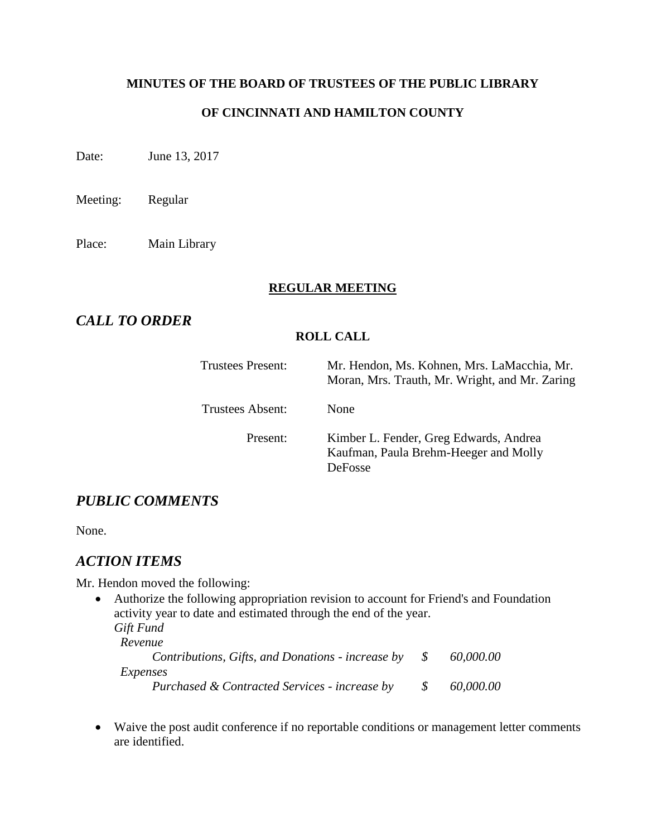### **MINUTES OF THE BOARD OF TRUSTEES OF THE PUBLIC LIBRARY**

### **OF CINCINNATI AND HAMILTON COUNTY**

Date: June 13, 2017

Meeting: Regular

Place: Main Library

### **REGULAR MEETING**

# *CALL TO ORDER*

### **ROLL CALL**

| Trustees Present: | Mr. Hendon, Ms. Kohnen, Mrs. LaMacchia, Mr.<br>Moran, Mrs. Trauth, Mr. Wright, and Mr. Zaring     |
|-------------------|---------------------------------------------------------------------------------------------------|
| Trustees Absent:  | None                                                                                              |
| Present:          | Kimber L. Fender, Greg Edwards, Andrea<br>Kaufman, Paula Brehm-Heeger and Molly<br><b>DeFosse</b> |

# *PUBLIC COMMENTS*

None.

# *ACTION ITEMS*

Mr. Hendon moved the following:

- Authorize the following appropriation revision to account for Friend's and Foundation activity year to date and estimated through the end of the year. *Gift Fund Revenue Contributions, Gifts, and Donations - increase by \$ 60,000.00 Expenses Purchased & Contracted Services - increase by \$ 60,000.00*
- Waive the post audit conference if no reportable conditions or management letter comments are identified.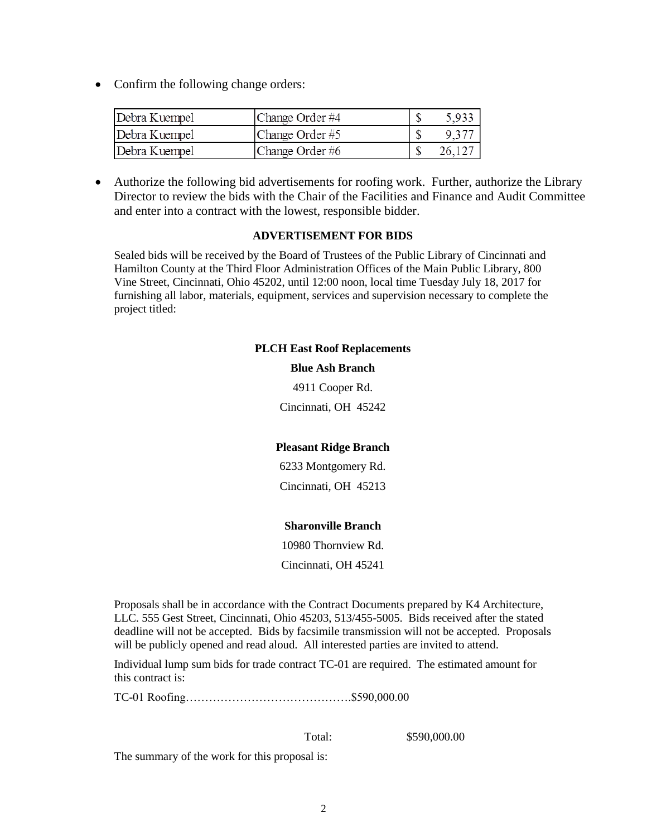• Confirm the following change orders:

| Debra Kuempel | Change Order #4 | 5,933 |
|---------------|-----------------|-------|
| Debra Kuempel | Change Order #5 | 9.37  |
| Debra Kuempel | Change Order #6 | 26.12 |

 Authorize the following bid advertisements for roofing work. Further, authorize the Library Director to review the bids with the Chair of the Facilities and Finance and Audit Committee and enter into a contract with the lowest, responsible bidder.

#### **ADVERTISEMENT FOR BIDS**

Sealed bids will be received by the Board of Trustees of the Public Library of Cincinnati and Hamilton County at the Third Floor Administration Offices of the Main Public Library, 800 Vine Street, Cincinnati, Ohio 45202, until 12:00 noon, local time Tuesday July 18, 2017 for furnishing all labor, materials, equipment, services and supervision necessary to complete the project titled:

> **PLCH East Roof Replacements Blue Ash Branch** 4911 Cooper Rd. Cincinnati, OH 45242

### **Pleasant Ridge Branch**

6233 Montgomery Rd.

Cincinnati, OH 45213

### **Sharonville Branch**

10980 Thornview Rd.

Cincinnati, OH 45241

Proposals shall be in accordance with the Contract Documents prepared by K4 Architecture, LLC. 555 Gest Street, Cincinnati, Ohio 45203, 513/455-5005. Bids received after the stated deadline will not be accepted. Bids by facsimile transmission will not be accepted. Proposals will be publicly opened and read aloud. All interested parties are invited to attend.

Individual lump sum bids for trade contract TC-01 are required. The estimated amount for this contract is:

TC-01 Roofing…………………………………….\$590,000.00

Total: \$590,000.00

The summary of the work for this proposal is: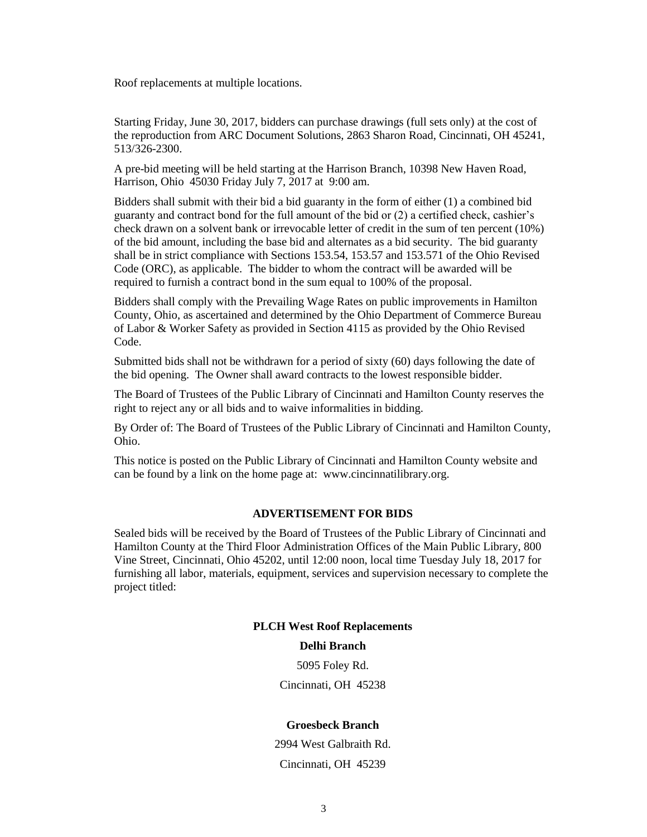Roof replacements at multiple locations.

Starting Friday, June 30, 2017, bidders can purchase drawings (full sets only) at the cost of the reproduction from ARC Document Solutions, 2863 Sharon Road, Cincinnati, OH 45241, 513/326-2300.

A pre-bid meeting will be held starting at the Harrison Branch, 10398 New Haven Road, Harrison, Ohio 45030 Friday July 7, 2017 at 9:00 am.

Bidders shall submit with their bid a bid guaranty in the form of either (1) a combined bid guaranty and contract bond for the full amount of the bid or (2) a certified check, cashier's check drawn on a solvent bank or irrevocable letter of credit in the sum of ten percent (10%) of the bid amount, including the base bid and alternates as a bid security. The bid guaranty shall be in strict compliance with Sections 153.54, 153.57 and 153.571 of the Ohio Revised Code (ORC), as applicable. The bidder to whom the contract will be awarded will be required to furnish a contract bond in the sum equal to 100% of the proposal.

Bidders shall comply with the Prevailing Wage Rates on public improvements in Hamilton County, Ohio, as ascertained and determined by the Ohio Department of Commerce Bureau of Labor & Worker Safety as provided in Section 4115 as provided by the Ohio Revised Code.

Submitted bids shall not be withdrawn for a period of sixty (60) days following the date of the bid opening. The Owner shall award contracts to the lowest responsible bidder.

The Board of Trustees of the Public Library of Cincinnati and Hamilton County reserves the right to reject any or all bids and to waive informalities in bidding.

By Order of: The Board of Trustees of the Public Library of Cincinnati and Hamilton County, Ohio.

This notice is posted on the Public Library of Cincinnati and Hamilton County website and can be found by a link on the home page at: www.cincinnatilibrary.org.

#### **ADVERTISEMENT FOR BIDS**

Sealed bids will be received by the Board of Trustees of the Public Library of Cincinnati and Hamilton County at the Third Floor Administration Offices of the Main Public Library, 800 Vine Street, Cincinnati, Ohio 45202, until 12:00 noon, local time Tuesday July 18, 2017 for furnishing all labor, materials, equipment, services and supervision necessary to complete the project titled:

#### **PLCH West Roof Replacements**

#### **Delhi Branch**

5095 Foley Rd. Cincinnati, OH 45238

#### **Groesbeck Branch**

2994 West Galbraith Rd. Cincinnati, OH 45239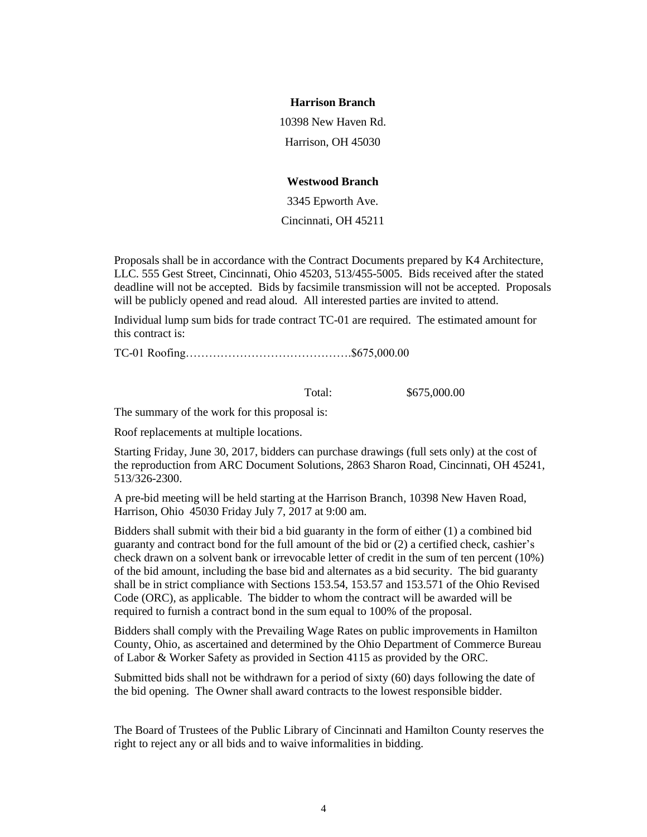#### **Harrison Branch**

10398 New Haven Rd.

Harrison, OH 45030

#### **Westwood Branch**

3345 Epworth Ave.

Cincinnati, OH 45211

Proposals shall be in accordance with the Contract Documents prepared by K4 Architecture, LLC. 555 Gest Street, Cincinnati, Ohio 45203, 513/455-5005. Bids received after the stated deadline will not be accepted. Bids by facsimile transmission will not be accepted. Proposals will be publicly opened and read aloud. All interested parties are invited to attend.

Individual lump sum bids for trade contract TC-01 are required. The estimated amount for this contract is:

TC-01 Roofing…………………………………….\$675,000.00

Total: \$675,000.00

The summary of the work for this proposal is:

Roof replacements at multiple locations.

Starting Friday, June 30, 2017, bidders can purchase drawings (full sets only) at the cost of the reproduction from ARC Document Solutions, 2863 Sharon Road, Cincinnati, OH 45241, 513/326-2300.

A pre-bid meeting will be held starting at the Harrison Branch, 10398 New Haven Road, Harrison, Ohio 45030 Friday July 7, 2017 at 9:00 am.

Bidders shall submit with their bid a bid guaranty in the form of either (1) a combined bid guaranty and contract bond for the full amount of the bid or (2) a certified check, cashier's check drawn on a solvent bank or irrevocable letter of credit in the sum of ten percent (10%) of the bid amount, including the base bid and alternates as a bid security. The bid guaranty shall be in strict compliance with Sections 153.54, 153.57 and 153.571 of the Ohio Revised Code (ORC), as applicable. The bidder to whom the contract will be awarded will be required to furnish a contract bond in the sum equal to 100% of the proposal.

Bidders shall comply with the Prevailing Wage Rates on public improvements in Hamilton County, Ohio, as ascertained and determined by the Ohio Department of Commerce Bureau of Labor & Worker Safety as provided in Section 4115 as provided by the ORC.

Submitted bids shall not be withdrawn for a period of sixty (60) days following the date of the bid opening. The Owner shall award contracts to the lowest responsible bidder.

The Board of Trustees of the Public Library of Cincinnati and Hamilton County reserves the right to reject any or all bids and to waive informalities in bidding.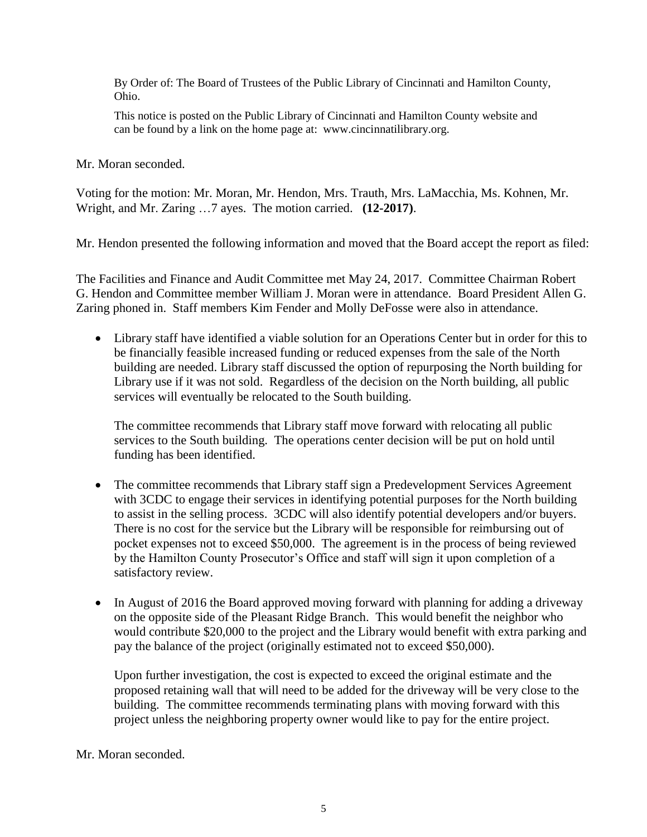By Order of: The Board of Trustees of the Public Library of Cincinnati and Hamilton County, Ohio.

This notice is posted on the Public Library of Cincinnati and Hamilton County website and can be found by a link on the home page at: www.cincinnatilibrary.org.

Mr. Moran seconded.

Voting for the motion: Mr. Moran, Mr. Hendon, Mrs. Trauth, Mrs. LaMacchia, Ms. Kohnen, Mr. Wright, and Mr. Zaring …7 ayes. The motion carried. **(12-2017)**.

Mr. Hendon presented the following information and moved that the Board accept the report as filed:

The Facilities and Finance and Audit Committee met May 24, 2017. Committee Chairman Robert G. Hendon and Committee member William J. Moran were in attendance. Board President Allen G. Zaring phoned in. Staff members Kim Fender and Molly DeFosse were also in attendance.

 Library staff have identified a viable solution for an Operations Center but in order for this to be financially feasible increased funding or reduced expenses from the sale of the North building are needed. Library staff discussed the option of repurposing the North building for Library use if it was not sold. Regardless of the decision on the North building, all public services will eventually be relocated to the South building.

The committee recommends that Library staff move forward with relocating all public services to the South building. The operations center decision will be put on hold until funding has been identified.

- The committee recommends that Library staff sign a Predevelopment Services Agreement with 3CDC to engage their services in identifying potential purposes for the North building to assist in the selling process. 3CDC will also identify potential developers and/or buyers. There is no cost for the service but the Library will be responsible for reimbursing out of pocket expenses not to exceed \$50,000. The agreement is in the process of being reviewed by the Hamilton County Prosecutor's Office and staff will sign it upon completion of a satisfactory review.
- In August of 2016 the Board approved moving forward with planning for adding a driveway on the opposite side of the Pleasant Ridge Branch. This would benefit the neighbor who would contribute \$20,000 to the project and the Library would benefit with extra parking and pay the balance of the project (originally estimated not to exceed \$50,000).

Upon further investigation, the cost is expected to exceed the original estimate and the proposed retaining wall that will need to be added for the driveway will be very close to the building. The committee recommends terminating plans with moving forward with this project unless the neighboring property owner would like to pay for the entire project.

### Mr. Moran seconded.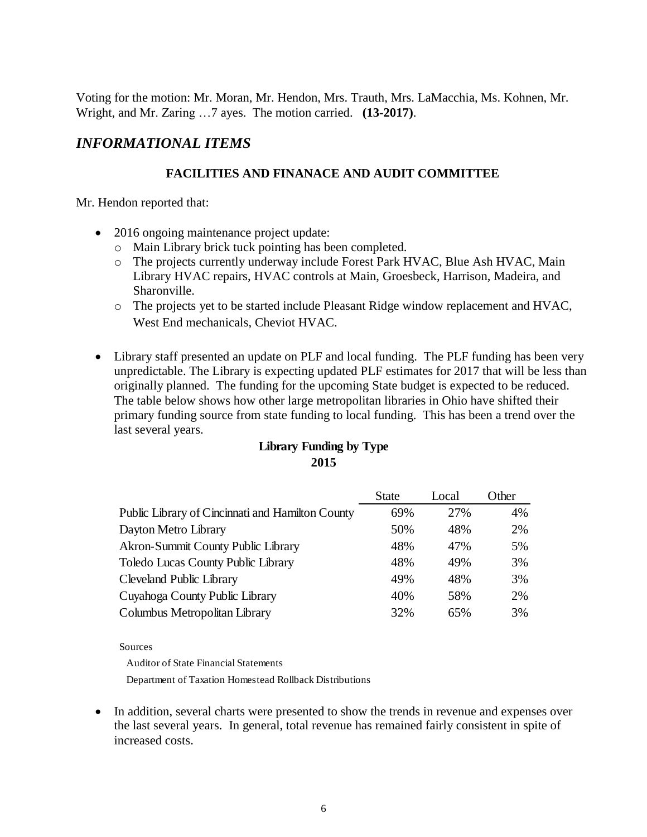Voting for the motion: Mr. Moran, Mr. Hendon, Mrs. Trauth, Mrs. LaMacchia, Ms. Kohnen, Mr. Wright, and Mr. Zaring …7 ayes. The motion carried. **(13-2017)**.

# *INFORMATIONAL ITEMS*

### **FACILITIES AND FINANACE AND AUDIT COMMITTEE**

Mr. Hendon reported that:

- 2016 ongoing maintenance project update:
	- o Main Library brick tuck pointing has been completed.
	- o The projects currently underway include Forest Park HVAC, Blue Ash HVAC, Main Library HVAC repairs, HVAC controls at Main, Groesbeck, Harrison, Madeira, and Sharonville.
	- o The projects yet to be started include Pleasant Ridge window replacement and HVAC, West End mechanicals, Cheviot HVAC.
- Library staff presented an update on PLF and local funding. The PLF funding has been very unpredictable. The Library is expecting updated PLF estimates for 2017 that will be less than originally planned. The funding for the upcoming State budget is expected to be reduced. The table below shows how other large metropolitan libraries in Ohio have shifted their primary funding source from state funding to local funding. This has been a trend over the last several years.

## **Library Funding by Type 2015**

|                                                  | <b>State</b> | Local | Other |
|--------------------------------------------------|--------------|-------|-------|
| Public Library of Cincinnati and Hamilton County | 69%          | 27%   | 4%    |
| Dayton Metro Library                             | 50%          | 48%   | 2%    |
| Akron-Summit County Public Library               | 48%          | 47%   | 5%    |
| Toledo Lucas County Public Library               | 48%          | 49%   | 3%    |
| Cleveland Public Library                         | 49%          | 48%   | 3%    |
| Cuyahoga County Public Library                   | 40%          | 58%   | 2%    |
| Columbus Metropolitan Library                    | 32%          | 65%   | 3%    |

Sources

Auditor of State Financial Statements

Department of Taxation Homestead Rollback Distributions

• In addition, several charts were presented to show the trends in revenue and expenses over the last several years. In general, total revenue has remained fairly consistent in spite of increased costs.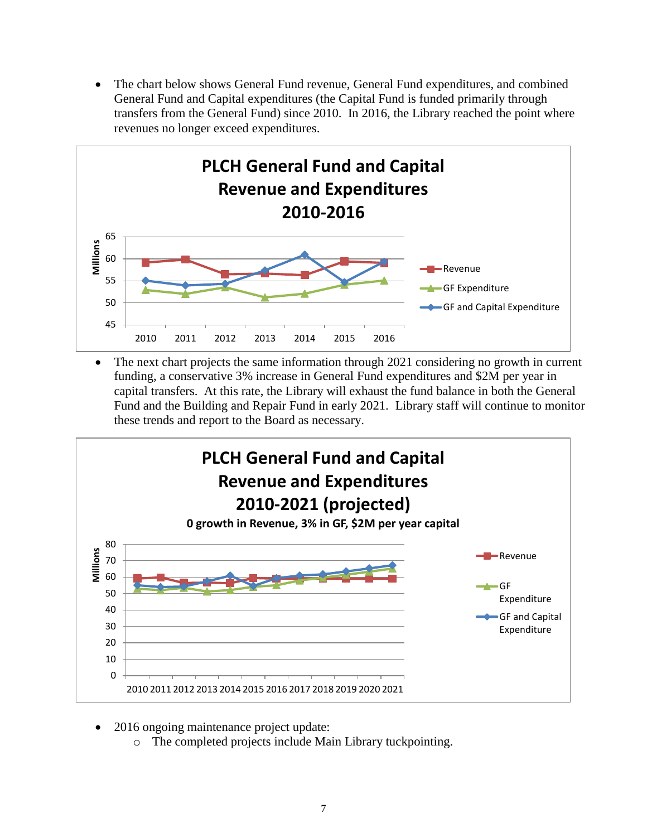The chart below shows General Fund revenue, General Fund expenditures, and combined General Fund and Capital expenditures (the Capital Fund is funded primarily through transfers from the General Fund) since 2010. In 2016, the Library reached the point where revenues no longer exceed expenditures.



 The next chart projects the same information through 2021 considering no growth in current funding, a conservative 3% increase in General Fund expenditures and \$2M per year in capital transfers. At this rate, the Library will exhaust the fund balance in both the General Fund and the Building and Repair Fund in early 2021. Library staff will continue to monitor these trends and report to the Board as necessary.



- 2016 ongoing maintenance project update:
	- o The completed projects include Main Library tuckpointing.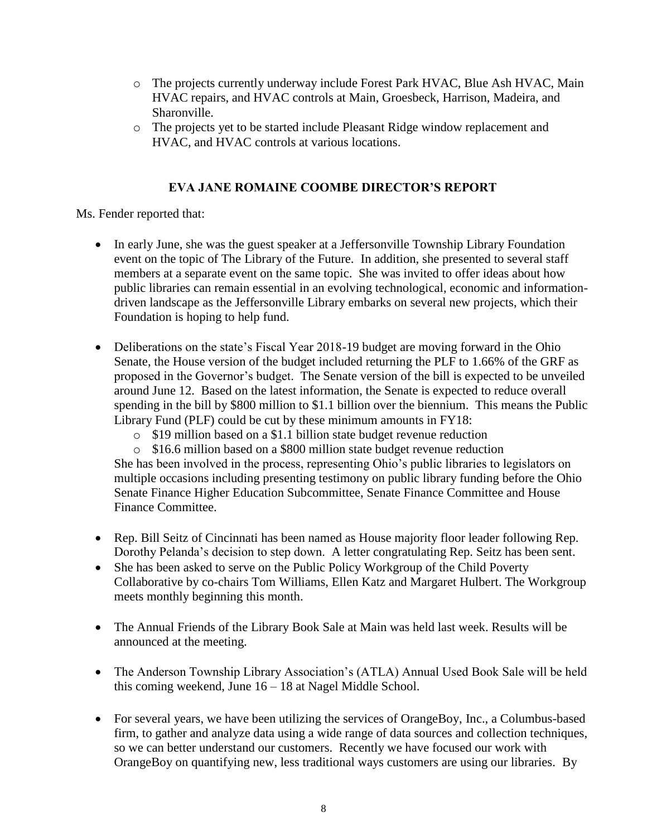- o The projects currently underway include Forest Park HVAC, Blue Ash HVAC, Main HVAC repairs, and HVAC controls at Main, Groesbeck, Harrison, Madeira, and Sharonville.
- o The projects yet to be started include Pleasant Ridge window replacement and HVAC, and HVAC controls at various locations.

## **EVA JANE ROMAINE COOMBE DIRECTOR'S REPORT**

Ms. Fender reported that:

- In early June, she was the guest speaker at a Jeffersonville Township Library Foundation event on the topic of The Library of the Future. In addition, she presented to several staff members at a separate event on the same topic. She was invited to offer ideas about how public libraries can remain essential in an evolving technological, economic and informationdriven landscape as the Jeffersonville Library embarks on several new projects, which their Foundation is hoping to help fund.
- Deliberations on the state's Fiscal Year 2018-19 budget are moving forward in the Ohio Senate, the House version of the budget included returning the PLF to 1.66% of the GRF as proposed in the Governor's budget. The Senate version of the bill is expected to be unveiled around June 12. Based on the latest information, the Senate is expected to reduce overall spending in the bill by \$800 million to \$1.1 billion over the biennium. This means the Public Library Fund (PLF) could be cut by these minimum amounts in FY18:
	- o \$19 million based on a \$1.1 billion state budget revenue reduction
	- o \$16.6 million based on a \$800 million state budget revenue reduction

She has been involved in the process, representing Ohio's public libraries to legislators on multiple occasions including presenting testimony on public library funding before the Ohio Senate Finance Higher Education Subcommittee, Senate Finance Committee and House Finance Committee.

- Rep. Bill Seitz of Cincinnati has been named as House majority floor leader following Rep. Dorothy Pelanda's decision to step down. A letter congratulating Rep. Seitz has been sent.
- She has been asked to serve on the Public Policy Workgroup of the Child Poverty Collaborative by co-chairs Tom Williams, Ellen Katz and Margaret Hulbert. The Workgroup meets monthly beginning this month.
- The Annual Friends of the Library Book Sale at Main was held last week. Results will be announced at the meeting.
- The Anderson Township Library Association's (ATLA) Annual Used Book Sale will be held this coming weekend, June 16 – 18 at Nagel Middle School.
- For several years, we have been utilizing the services of OrangeBoy, Inc., a Columbus-based firm, to gather and analyze data using a wide range of data sources and collection techniques, so we can better understand our customers. Recently we have focused our work with OrangeBoy on quantifying new, less traditional ways customers are using our libraries. By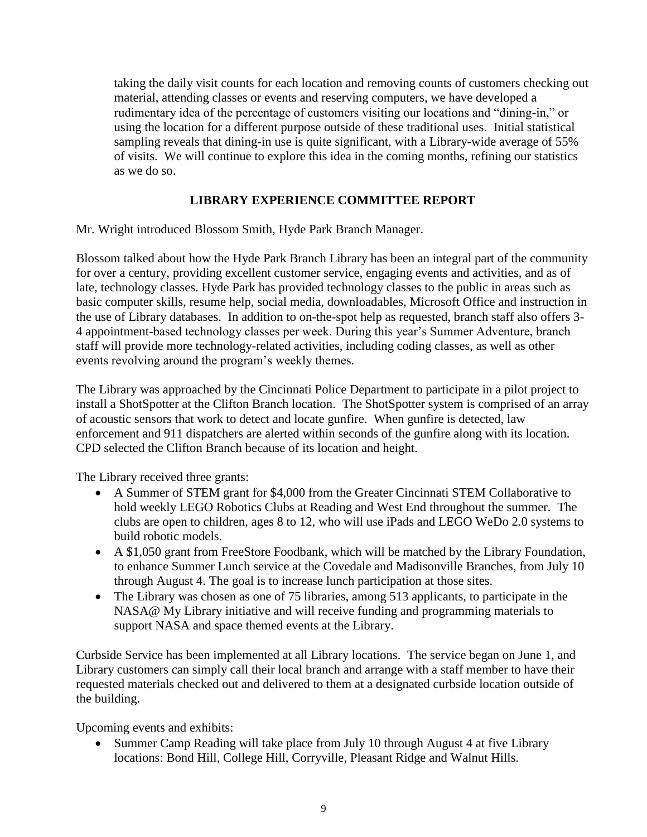taking the daily visit counts for each location and removing counts of customers checking out material, attending classes or events and reserving computers, we have developed a rudimentary idea of the percentage of customers visiting our locations and "dining-in," or using the location for a different purpose outside of these traditional uses. Initial statistical sampling reveals that dining-in use is quite significant, with a Library-wide average of 55% of visits. We will continue to explore this idea in the coming months, refining our statistics as we do so.

# **LIBRARY EXPERIENCE COMMITTEE REPORT**

Mr. Wright introduced Blossom Smith, Hyde Park Branch Manager.

Blossom talked about how the Hyde Park Branch Library has been an integral part of the community for over a century, providing excellent customer service, engaging events and activities, and as of late, technology classes. Hyde Park has provided technology classes to the public in areas such as basic computer skills, resume help, social media, downloadables, Microsoft Office and instruction in the use of Library databases. In addition to on-the-spot help as requested, branch staff also offers 3- 4 appointment-based technology classes per week. During this year's Summer Adventure, branch staff will provide more technology-related activities, including coding classes, as well as other events revolving around the program's weekly themes.

The Library was approached by the Cincinnati Police Department to participate in a pilot project to install a ShotSpotter at the Clifton Branch location. The ShotSpotter system is comprised of an array of acoustic sensors that work to detect and locate gunfire. When gunfire is detected, law enforcement and 911 dispatchers are alerted within seconds of the gunfire along with its location. CPD selected the Clifton Branch because of its location and height.

The Library received three grants:

- A Summer of STEM grant for \$4,000 from the Greater Cincinnati STEM Collaborative to hold weekly LEGO Robotics Clubs at Reading and West End throughout the summer. The clubs are open to children, ages 8 to 12, who will use iPads and LEGO WeDo 2.0 systems to build robotic models.
- A \$1,050 grant from FreeStore Foodbank, which will be matched by the Library Foundation, to enhance Summer Lunch service at the Covedale and Madisonville Branches, from July 10 through August 4. The goal is to increase lunch participation at those sites.
- The Library was chosen as one of 75 libraries, among 513 applicants, to participate in the NASA@ My Library initiative and will receive funding and programming materials to support NASA and space themed events at the Library.

Curbside Service has been implemented at all Library locations. The service began on June 1, and Library customers can simply call their local branch and arrange with a staff member to have their requested materials checked out and delivered to them at a designated curbside location outside of the building.

Upcoming events and exhibits:

• Summer Camp Reading will take place from July 10 through August 4 at five Library locations: Bond Hill, College Hill, Corryville, Pleasant Ridge and Walnut Hills.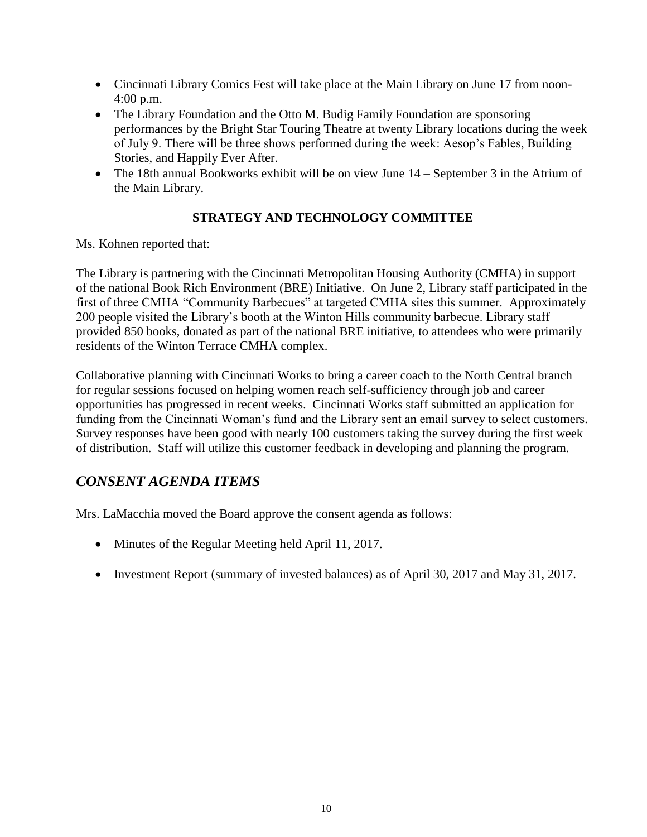- Cincinnati Library Comics Fest will take place at the Main Library on June 17 from noon-4:00 p.m.
- The Library Foundation and the Otto M. Budig Family Foundation are sponsoring performances by the Bright Star Touring Theatre at twenty Library locations during the week of July 9. There will be three shows performed during the week: Aesop's Fables, Building Stories, and Happily Ever After.
- The 18th annual Bookworks exhibit will be on view June 14 September 3 in the Atrium of the Main Library.

# **STRATEGY AND TECHNOLOGY COMMITTEE**

Ms. Kohnen reported that:

The Library is partnering with the Cincinnati Metropolitan Housing Authority (CMHA) in support of the national Book Rich Environment (BRE) Initiative. On June 2, Library staff participated in the first of three CMHA "Community Barbecues" at targeted CMHA sites this summer. Approximately 200 people visited the Library's booth at the Winton Hills community barbecue. Library staff provided 850 books, donated as part of the national BRE initiative, to attendees who were primarily residents of the Winton Terrace CMHA complex.

Collaborative planning with Cincinnati Works to bring a career coach to the North Central branch for regular sessions focused on helping women reach self-sufficiency through job and career opportunities has progressed in recent weeks. Cincinnati Works staff submitted an application for funding from the Cincinnati Woman's fund and the Library sent an email survey to select customers. Survey responses have been good with nearly 100 customers taking the survey during the first week of distribution. Staff will utilize this customer feedback in developing and planning the program.

# *CONSENT AGENDA ITEMS*

Mrs. LaMacchia moved the Board approve the consent agenda as follows:

- Minutes of the Regular Meeting held April 11, 2017.
- Investment Report (summary of invested balances) as of April 30, 2017 and May 31, 2017.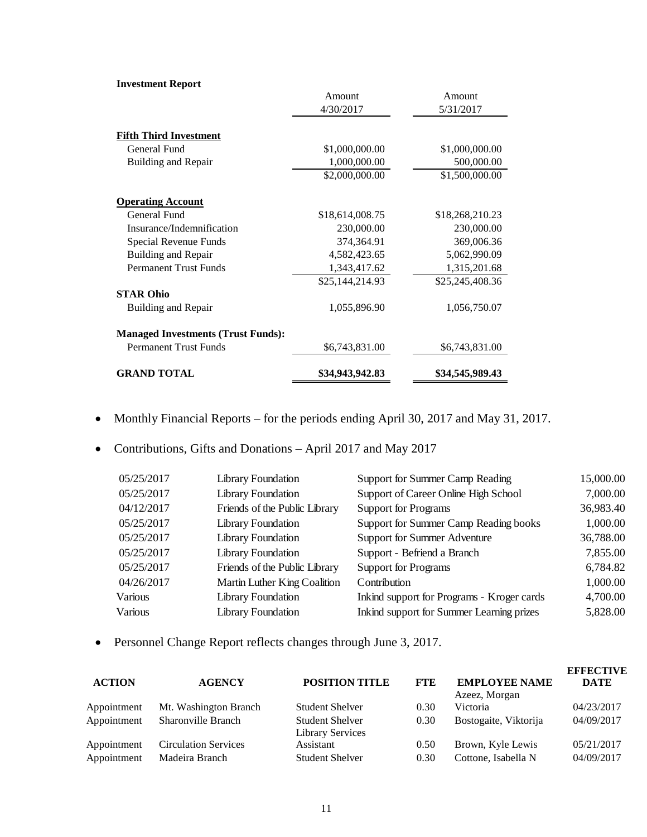#### **Investment Report**

|                                           | Amount          | Amount          |
|-------------------------------------------|-----------------|-----------------|
|                                           | 4/30/2017       | 5/31/2017       |
| <b>Fifth Third Investment</b>             |                 |                 |
| General Fund                              | \$1,000,000.00  | \$1,000,000.00  |
| <b>Building and Repair</b>                | 1,000,000.00    | 500,000.00      |
|                                           | \$2,000,000.00  | \$1,500,000.00  |
| <b>Operating Account</b>                  |                 |                 |
| General Fund                              | \$18,614,008.75 | \$18,268,210.23 |
| Insurance/Indemnification                 | 230,000.00      | 230,000.00      |
| Special Revenue Funds                     | 374,364.91      | 369,006.36      |
| Building and Repair                       | 4,582,423.65    | 5,062,990.09    |
| <b>Permanent Trust Funds</b>              | 1,343,417.62    | 1,315,201.68    |
|                                           | \$25,144,214.93 | \$25,245,408.36 |
| <b>STAR Ohio</b>                          |                 |                 |
| Building and Repair                       | 1,055,896.90    | 1,056,750.07    |
| <b>Managed Investments (Trust Funds):</b> |                 |                 |
| <b>Permanent Trust Funds</b>              | \$6,743,831.00  | \$6,743,831.00  |
| <b>GRAND TOTAL</b>                        | \$34,943,942.83 | \$34,545,989.43 |

- Monthly Financial Reports for the periods ending April 30, 2017 and May 31, 2017.
- Contributions, Gifts and Donations April 2017 and May 2017

| 05/25/2017 | Library Foundation            | Support for Summer Camp Reading            | 15,000.00 |
|------------|-------------------------------|--------------------------------------------|-----------|
| 05/25/2017 | <b>Library Foundation</b>     | Support of Career Online High School       | 7,000.00  |
| 04/12/2017 | Friends of the Public Library | <b>Support for Programs</b>                | 36,983.40 |
| 05/25/2017 | Library Foundation            | Support for Summer Camp Reading books      | 1,000.00  |
| 05/25/2017 | <b>Library Foundation</b>     | <b>Support for Summer Adventure</b>        | 36,788.00 |
| 05/25/2017 | Library Foundation            | Support - Befriend a Branch                | 7,855.00  |
| 05/25/2017 | Friends of the Public Library | <b>Support for Programs</b>                | 6,784.82  |
| 04/26/2017 | Martin Luther King Coalition  | Contribution                               | 1,000.00  |
| Various    | Library Foundation            | Inkind support for Programs - Kroger cards | 4,700.00  |
| Various    | Library Foundation            | Inkind support for Summer Learning prizes  | 5,828.00  |

Personnel Change Report reflects changes through June 3, 2017.

| <b>ACTION</b> | <b>AGENCY</b>               | <b>POSITION TITLE</b>                             | <b>FTE</b> | <b>EMPLOYEE NAME</b>  | <b>EFFECTIVE</b><br><b>DATE</b> |
|---------------|-----------------------------|---------------------------------------------------|------------|-----------------------|---------------------------------|
|               |                             |                                                   |            | Azeez, Morgan         |                                 |
| Appointment   | Mt. Washington Branch       | <b>Student Shelver</b>                            | 0.30       | Victoria              | 04/23/2017                      |
| Appointment   | <b>Sharonville Branch</b>   | <b>Student Shelver</b><br><b>Library Services</b> | 0.30       | Bostogaite, Viktorija | 04/09/2017                      |
| Appointment   | <b>Circulation Services</b> | Assistant                                         | 0.50       | Brown, Kyle Lewis     | 05/21/2017                      |
| Appointment   | Madeira Branch              | <b>Student Shelver</b>                            | 0.30       | Cottone, Isabella N   | 04/09/2017                      |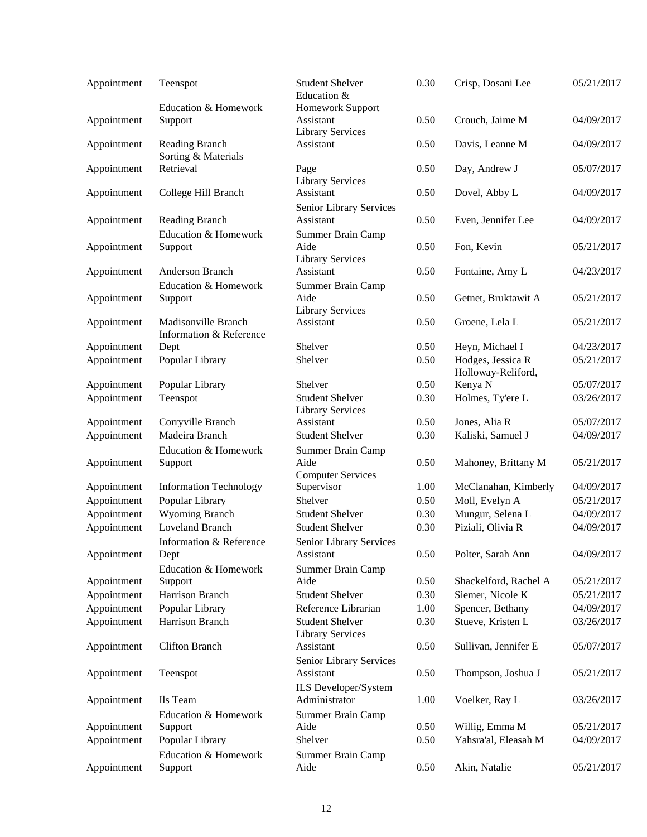| Appointment | Teenspot                                       | <b>Student Shelver</b><br>Education &                | 0.30         | Crisp, Dosani Lee                       | 05/21/2017 |
|-------------|------------------------------------------------|------------------------------------------------------|--------------|-----------------------------------------|------------|
|             | <b>Education &amp; Homework</b>                | Homework Support                                     |              |                                         |            |
| Appointment | Support                                        | Assistant<br><b>Library Services</b>                 | 0.50         | Crouch, Jaime M                         | 04/09/2017 |
| Appointment | Reading Branch<br>Sorting & Materials          | Assistant                                            | 0.50         | Davis, Leanne M                         | 04/09/2017 |
| Appointment | Retrieval                                      | Page<br><b>Library Services</b>                      | 0.50         | Day, Andrew J                           | 05/07/2017 |
| Appointment | College Hill Branch                            | Assistant                                            | 0.50         | Dovel, Abby L                           | 04/09/2017 |
| Appointment | Reading Branch                                 | Senior Library Services<br>Assistant                 | 0.50         | Even, Jennifer Lee                      | 04/09/2017 |
| Appointment | Education & Homework<br>Support                | Summer Brain Camp<br>Aide<br><b>Library Services</b> | 0.50         | Fon, Kevin                              | 05/21/2017 |
| Appointment | Anderson Branch                                | Assistant                                            | 0.50         | Fontaine, Amy L                         | 04/23/2017 |
| Appointment | Education & Homework<br>Support                | Summer Brain Camp<br>Aide<br><b>Library Services</b> | 0.50         | Getnet, Bruktawit A                     | 05/21/2017 |
| Appointment | Madisonville Branch<br>Information & Reference | Assistant                                            | 0.50         | Groene, Lela L                          | 05/21/2017 |
| Appointment | Dept                                           | Shelver                                              | 0.50         | Heyn, Michael I                         | 04/23/2017 |
| Appointment | Popular Library                                | Shelver                                              | 0.50         | Hodges, Jessica R<br>Holloway-Reliford, | 05/21/2017 |
| Appointment | Popular Library                                | Shelver                                              | 0.50         | Kenya N                                 | 05/07/2017 |
| Appointment | Teenspot                                       | <b>Student Shelver</b><br><b>Library Services</b>    | 0.30         | Holmes, Ty'ere L                        | 03/26/2017 |
| Appointment | Corryville Branch                              | Assistant                                            | 0.50         | Jones, Alia R                           | 05/07/2017 |
| Appointment | Madeira Branch                                 | <b>Student Shelver</b>                               | 0.30         | Kaliski, Samuel J                       | 04/09/2017 |
|             | Education & Homework                           | Summer Brain Camp                                    |              |                                         |            |
| Appointment | Support                                        | Aide<br><b>Computer Services</b>                     | 0.50         | Mahoney, Brittany M                     | 05/21/2017 |
| Appointment | <b>Information Technology</b>                  | Supervisor                                           | 1.00         | McClanahan, Kimberly                    | 04/09/2017 |
| Appointment | Popular Library                                | Shelver                                              | 0.50         | Moll, Evelyn A                          | 05/21/2017 |
| Appointment | <b>Wyoming Branch</b>                          | <b>Student Shelver</b>                               | 0.30         | Mungur, Selena L                        | 04/09/2017 |
| Appointment | <b>Loveland Branch</b>                         | <b>Student Shelver</b>                               | 0.30         | Piziali, Olivia R                       | 04/09/2017 |
| Appointment | Information & Reference<br>Dept                | Senior Library Services<br>Assistant                 | 0.50         | Polter, Sarah Ann                       | 04/09/2017 |
|             | <b>Education &amp; Homework</b>                | Summer Brain Camp                                    |              |                                         |            |
| Appointment | Support                                        | Aide                                                 | 0.50         | Shackelford, Rachel A                   | 05/21/2017 |
| Appointment | Harrison Branch                                | <b>Student Shelver</b>                               | 0.30         | Siemer, Nicole K                        | 05/21/2017 |
| Appointment | Popular Library                                | Reference Librarian                                  | 1.00         | Spencer, Bethany                        | 04/09/2017 |
| Appointment | Harrison Branch                                | <b>Student Shelver</b><br><b>Library Services</b>    | 0.30         | Stueve, Kristen L                       | 03/26/2017 |
| Appointment | <b>Clifton Branch</b>                          | Assistant<br>Senior Library Services                 | 0.50         | Sullivan, Jennifer E                    | 05/07/2017 |
| Appointment | Teenspot                                       | Assistant<br>ILS Developer/System                    | 0.50         | Thompson, Joshua J                      | 05/21/2017 |
| Appointment | Ils Team                                       | Administrator                                        | 1.00         | Voelker, Ray L                          | 03/26/2017 |
|             | Education & Homework                           | Summer Brain Camp<br>Aide                            |              |                                         | 05/21/2017 |
| Appointment | Support                                        | Shelver                                              | 0.50<br>0.50 | Willig, Emma M<br>Yahsra'al, Eleasah M  | 04/09/2017 |
| Appointment | Popular Library<br>Education & Homework        |                                                      |              |                                         |            |
| Appointment | Support                                        | Summer Brain Camp<br>Aide                            | 0.50         | Akin, Natalie                           | 05/21/2017 |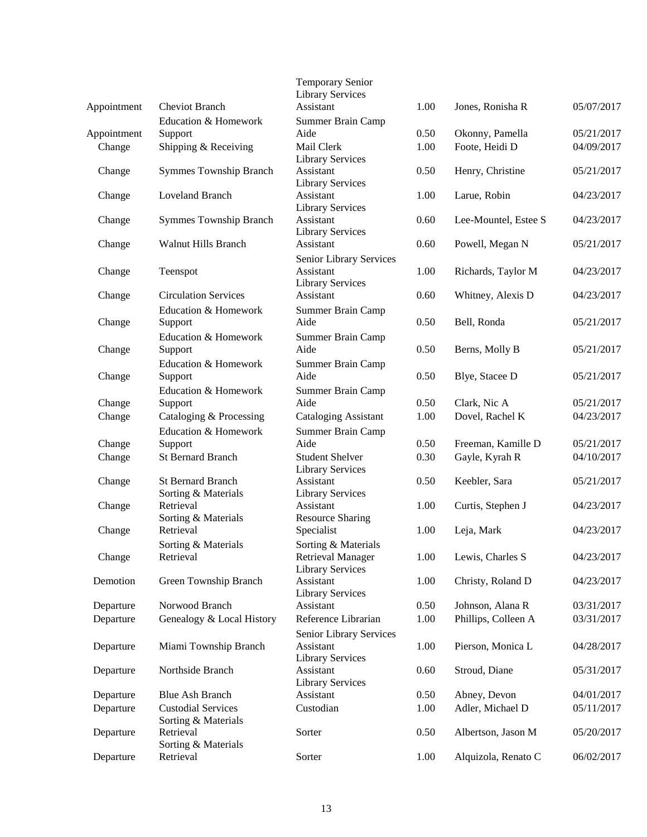|             | <b>Cheviot Branch</b>                            | <b>Temporary Senior</b><br><b>Library Services</b><br>Assistant            | 1.00 | Jones, Ronisha R     |            |
|-------------|--------------------------------------------------|----------------------------------------------------------------------------|------|----------------------|------------|
| Appointment | Education & Homework                             |                                                                            |      |                      | 05/07/2017 |
| Appointment | Support                                          | Summer Brain Camp<br>Aide                                                  | 0.50 | Okonny, Pamella      | 05/21/2017 |
| Change      | Shipping & Receiving                             | Mail Clerk<br><b>Library Services</b>                                      | 1.00 | Foote, Heidi D       | 04/09/2017 |
| Change      | <b>Symmes Township Branch</b>                    | Assistant<br><b>Library Services</b>                                       | 0.50 | Henry, Christine     | 05/21/2017 |
| Change      | <b>Loveland Branch</b>                           | Assistant<br><b>Library Services</b>                                       | 1.00 | Larue, Robin         | 04/23/2017 |
| Change      | <b>Symmes Township Branch</b>                    | Assistant<br><b>Library Services</b>                                       | 0.60 | Lee-Mountel, Estee S | 04/23/2017 |
| Change      | <b>Walnut Hills Branch</b>                       | Assistant<br>Senior Library Services                                       | 0.60 | Powell, Megan N      | 05/21/2017 |
| Change      | Teenspot                                         | Assistant<br><b>Library Services</b>                                       | 1.00 | Richards, Taylor M   | 04/23/2017 |
| Change      | <b>Circulation Services</b>                      | Assistant                                                                  | 0.60 | Whitney, Alexis D    | 04/23/2017 |
| Change      | Education & Homework<br>Support                  | Summer Brain Camp<br>Aide                                                  | 0.50 | Bell, Ronda          | 05/21/2017 |
| Change      | Education & Homework<br>Support                  | Summer Brain Camp<br>Aide                                                  | 0.50 | Berns, Molly B       | 05/21/2017 |
| Change      | Education & Homework<br>Support                  | Summer Brain Camp<br>Aide                                                  | 0.50 | Blye, Stacee D       | 05/21/2017 |
| Change      | Education & Homework<br>Support                  | Summer Brain Camp<br>Aide                                                  | 0.50 | Clark, Nic A         | 05/21/2017 |
| Change      | Cataloging & Processing                          | <b>Cataloging Assistant</b>                                                | 1.00 | Dovel, Rachel K      | 04/23/2017 |
|             | Education & Homework                             | Summer Brain Camp                                                          |      |                      |            |
| Change      | Support                                          | Aide                                                                       | 0.50 | Freeman, Kamille D   | 05/21/2017 |
| Change      | <b>St Bernard Branch</b>                         | <b>Student Shelver</b><br><b>Library Services</b>                          | 0.30 | Gayle, Kyrah R       | 04/10/2017 |
| Change      | <b>St Bernard Branch</b><br>Sorting & Materials  | Assistant<br><b>Library Services</b>                                       | 0.50 | Keebler, Sara        | 05/21/2017 |
| Change      | Retrieval<br>Sorting & Materials                 | Assistant<br><b>Resource Sharing</b>                                       | 1.00 | Curtis, Stephen J    | 04/23/2017 |
| Change      | Retrieval                                        | Specialist                                                                 | 1.00 | Leja, Mark           | 04/23/2017 |
| Change      | Sorting & Materials<br>Retrieval                 | Sorting & Materials<br><b>Retrieval Manager</b><br><b>Library Services</b> | 1.00 | Lewis, Charles S     | 04/23/2017 |
| Demotion    | Green Township Branch                            | Assistant<br><b>Library Services</b>                                       | 1.00 | Christy, Roland D    | 04/23/2017 |
| Departure   | Norwood Branch                                   | Assistant                                                                  | 0.50 | Johnson, Alana R     | 03/31/2017 |
| Departure   | Genealogy & Local History                        | Reference Librarian                                                        | 1.00 | Phillips, Colleen A  | 03/31/2017 |
| Departure   | Miami Township Branch                            | Senior Library Services<br>Assistant<br><b>Library Services</b>            | 1.00 | Pierson, Monica L    | 04/28/2017 |
| Departure   | Northside Branch                                 | Assistant<br><b>Library Services</b>                                       | 0.60 | Stroud, Diane        | 05/31/2017 |
| Departure   | <b>Blue Ash Branch</b>                           | Assistant                                                                  | 0.50 | Abney, Devon         | 04/01/2017 |
| Departure   | <b>Custodial Services</b><br>Sorting & Materials | Custodian                                                                  | 1.00 | Adler, Michael D     | 05/11/2017 |
| Departure   | Retrieval<br>Sorting & Materials                 | Sorter                                                                     | 0.50 | Albertson, Jason M   | 05/20/2017 |
| Departure   | Retrieval                                        | Sorter                                                                     | 1.00 | Alquizola, Renato C  | 06/02/2017 |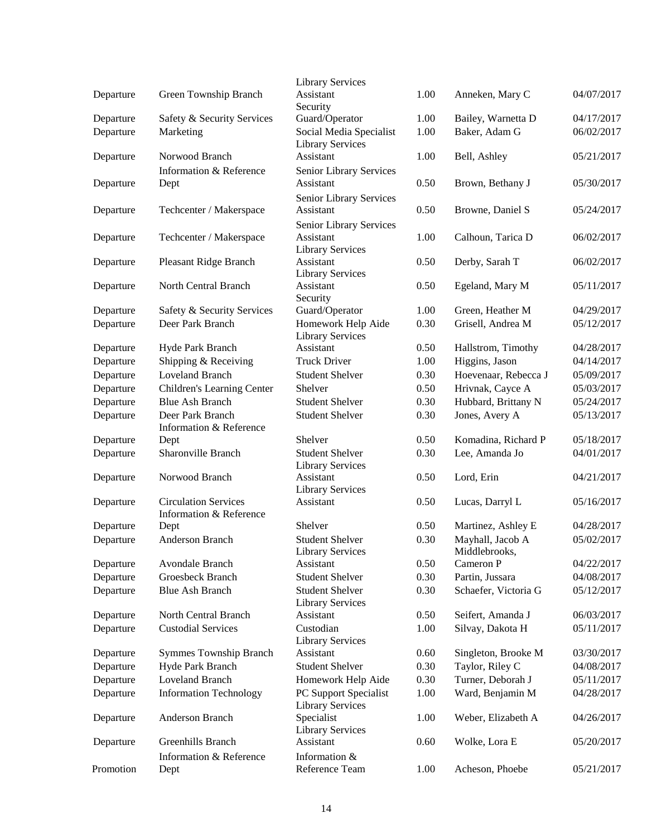|           |                                                        | <b>Library Services</b>                                         |      |                                   |            |
|-----------|--------------------------------------------------------|-----------------------------------------------------------------|------|-----------------------------------|------------|
| Departure | Green Township Branch                                  | Assistant<br>Security                                           | 1.00 | Anneken, Mary C                   | 04/07/2017 |
| Departure | Safety & Security Services                             | Guard/Operator                                                  | 1.00 | Bailey, Warnetta D                | 04/17/2017 |
| Departure | Marketing                                              | Social Media Specialist<br><b>Library Services</b>              | 1.00 | Baker, Adam G                     | 06/02/2017 |
| Departure | Norwood Branch                                         | Assistant                                                       | 1.00 | Bell, Ashley                      | 05/21/2017 |
| Departure | Information & Reference<br>Dept                        | Senior Library Services<br>Assistant                            | 0.50 | Brown, Bethany J                  | 05/30/2017 |
| Departure | Techcenter / Makerspace                                | Senior Library Services<br>Assistant                            | 0.50 | Browne, Daniel S                  | 05/24/2017 |
| Departure | Techcenter / Makerspace                                | Senior Library Services<br>Assistant<br><b>Library Services</b> | 1.00 | Calhoun, Tarica D                 | 06/02/2017 |
| Departure | Pleasant Ridge Branch                                  | Assistant<br><b>Library Services</b>                            | 0.50 | Derby, Sarah T                    | 06/02/2017 |
| Departure | North Central Branch                                   | Assistant<br>Security                                           | 0.50 | Egeland, Mary M                   | 05/11/2017 |
| Departure | Safety & Security Services                             | Guard/Operator                                                  | 1.00 | Green, Heather M                  | 04/29/2017 |
| Departure | Deer Park Branch                                       | Homework Help Aide<br><b>Library Services</b>                   | 0.30 | Grisell, Andrea M                 | 05/12/2017 |
| Departure | Hyde Park Branch                                       | Assistant                                                       | 0.50 | Hallstrom, Timothy                | 04/28/2017 |
| Departure | Shipping & Receiving                                   | <b>Truck Driver</b>                                             | 1.00 | Higgins, Jason                    | 04/14/2017 |
| Departure | Loveland Branch                                        | <b>Student Shelver</b>                                          | 0.30 | Hoevenaar, Rebecca J              | 05/09/2017 |
| Departure | Children's Learning Center                             | Shelver                                                         | 0.50 | Hrivnak, Cayce A                  | 05/03/2017 |
| Departure | <b>Blue Ash Branch</b>                                 | <b>Student Shelver</b>                                          | 0.30 | Hubbard, Brittany N               | 05/24/2017 |
| Departure | Deer Park Branch<br>Information & Reference            | <b>Student Shelver</b>                                          | 0.30 | Jones, Avery A                    | 05/13/2017 |
| Departure | Dept                                                   | Shelver                                                         | 0.50 | Komadina, Richard P               | 05/18/2017 |
| Departure | Sharonville Branch                                     | <b>Student Shelver</b><br><b>Library Services</b>               | 0.30 | Lee, Amanda Jo                    | 04/01/2017 |
| Departure | Norwood Branch                                         | Assistant<br><b>Library Services</b>                            | 0.50 | Lord, Erin                        | 04/21/2017 |
| Departure | <b>Circulation Services</b><br>Information & Reference | Assistant                                                       | 0.50 | Lucas, Darryl L                   | 05/16/2017 |
| Departure | Dept                                                   | Shelver                                                         | 0.50 | Martinez, Ashley E                | 04/28/2017 |
| Departure | Anderson Branch                                        | <b>Student Shelver</b><br><b>Library Services</b>               | 0.30 | Mayhall, Jacob A<br>Middlebrooks, | 05/02/2017 |
| Departure | Avondale Branch                                        | Assistant                                                       | 0.50 | Cameron P                         | 04/22/2017 |
| Departure | Groesbeck Branch                                       | <b>Student Shelver</b>                                          | 0.30 | Partin, Jussara                   | 04/08/2017 |
| Departure | <b>Blue Ash Branch</b>                                 | <b>Student Shelver</b><br><b>Library Services</b>               | 0.30 | Schaefer, Victoria G              | 05/12/2017 |
| Departure | North Central Branch                                   | Assistant                                                       | 0.50 | Seifert, Amanda J                 | 06/03/2017 |
| Departure | <b>Custodial Services</b>                              | Custodian<br><b>Library Services</b>                            | 1.00 | Silvay, Dakota H                  | 05/11/2017 |
| Departure | <b>Symmes Township Branch</b>                          | Assistant                                                       | 0.60 | Singleton, Brooke M               | 03/30/2017 |
| Departure | Hyde Park Branch                                       | <b>Student Shelver</b>                                          | 0.30 | Taylor, Riley C                   | 04/08/2017 |
| Departure | Loveland Branch                                        | Homework Help Aide                                              | 0.30 | Turner, Deborah J                 | 05/11/2017 |
| Departure | <b>Information Technology</b>                          | PC Support Specialist<br><b>Library Services</b>                | 1.00 | Ward, Benjamin M                  | 04/28/2017 |
| Departure | Anderson Branch                                        | Specialist<br><b>Library Services</b>                           | 1.00 | Weber, Elizabeth A                | 04/26/2017 |
| Departure | Greenhills Branch                                      | Assistant                                                       | 0.60 | Wolke, Lora E                     | 05/20/2017 |
| Promotion | Information & Reference<br>Dept                        | Information &<br>Reference Team                                 | 1.00 | Acheson, Phoebe                   | 05/21/2017 |